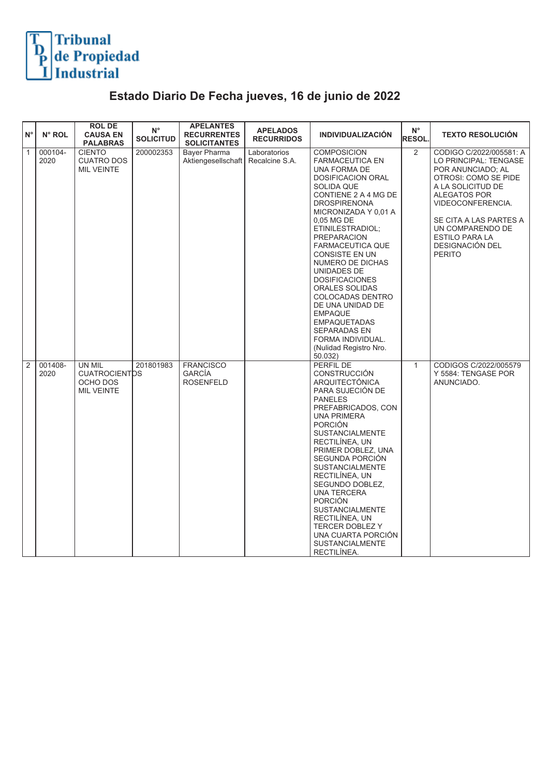

## **Estado Diario De Fecha jueves, 16 de junio de 2022**

| $N^{\circ}$    | N° ROL          | <b>ROL DE</b><br><b>CAUSA EN</b><br><b>PALABRAS</b>             | $N^{\circ}$<br><b>SOLICITUD</b> | <b>APELANTES</b><br><b>RECURRENTES</b><br><b>SOLICITANTES</b> | <b>APELADOS</b><br><b>RECURRIDOS</b> | <b>INDIVIDUALIZACIÓN</b>                                                                                                                                                                                                                                                                                                                                                                                                                                                                                                    | $\mathsf{N}^\circ$<br>RESOL. | <b>TEXTO RESOLUCIÓN</b>                                                                                                                                                                                                                                                   |
|----------------|-----------------|-----------------------------------------------------------------|---------------------------------|---------------------------------------------------------------|--------------------------------------|-----------------------------------------------------------------------------------------------------------------------------------------------------------------------------------------------------------------------------------------------------------------------------------------------------------------------------------------------------------------------------------------------------------------------------------------------------------------------------------------------------------------------------|------------------------------|---------------------------------------------------------------------------------------------------------------------------------------------------------------------------------------------------------------------------------------------------------------------------|
| $\mathbf{1}$   | 000104-<br>2020 | <b>CIENTO</b><br><b>CUATRO DOS</b><br><b>MIL VEINTE</b>         | 200002353                       | Bayer Pharma<br>Aktiengesellschaft                            | Laboratorios<br>Recalcine S.A.       | <b>COMPOSICION</b><br><b>FARMACEUTICA EN</b><br>UNA FORMA DE<br>DOSIFICACION ORAL<br>SOLIDA QUE<br>CONTIENE 2 A 4 MG DE<br><b>DROSPIRENONA</b><br>MICRONIZADA Y 0,01 A<br>0,05 MG DE<br>ETINILESTRADIOL;<br><b>PREPARACION</b><br><b>FARMACEUTICA QUE</b><br><b>CONSISTE EN UN</b><br>NUMERO DE DICHAS<br>UNIDADES DE<br><b>DOSIFICACIONES</b><br>ORALES SOLIDAS<br>COLOCADAS DENTRO<br>DE UNA UNIDAD DE<br><b>EMPAQUE</b><br>EMPAQUETADAS<br><b>SEPARADAS EN</b><br>FORMA INDIVIDUAL.<br>(Nulidad Registro Nro.<br>50.032) | $\overline{2}$               | CODIGO C/2022/005581: A<br>LO PRINCIPAL: TENGASE<br>POR ANUNCIADO; AL<br>OTROSI: COMO SE PIDE<br>A LA SOLICITUD DE<br><b>ALEGATOS POR</b><br>VIDEOCONFERENCIA.<br>SE CITA A LAS PARTES A<br>UN COMPARENDO DE<br><b>ESTILO PARA LA</b><br>DESIGNACIÓN DEL<br><b>PERITO</b> |
| $\overline{2}$ | 001408-<br>2020 | UN MIL<br><b>CUATROCIENTDS</b><br>OCHO DOS<br><b>MIL VEINTE</b> | 201801983                       | <b>FRANCISCO</b><br><b>GARCÍA</b><br><b>ROSENFELD</b>         |                                      | PERFIL DE<br><b>CONSTRUCCIÓN</b><br>ARQUITECTÓNICA<br>PARA SUJECIÓN DE<br><b>PANELES</b><br>PREFABRICADOS, CON<br><b>UNA PRIMERA</b><br><b>PORCIÓN</b><br><b>SUSTANCIALMENTE</b><br>RECTILINEA, UN<br>PRIMER DOBLEZ, UNA<br>SEGUNDA PORCIÓN<br><b>SUSTANCIALMENTE</b><br>RECTILINEA, UN<br>SEGUNDO DOBLEZ,<br><b>UNA TERCERA</b><br><b>PORCIÓN</b><br><b>SUSTANCIALMENTE</b><br>RECTILÍNEA, UN<br><b>TERCER DOBLEZ Y</b><br>UNA CUARTA PORCIÓN<br><b>SUSTANCIALMENTE</b><br>RECTILINEA.                                     | $\mathbf{1}$                 | CODIGOS C/2022/005579<br>Y 5584: TENGASE POR<br>ANUNCIADO.                                                                                                                                                                                                                |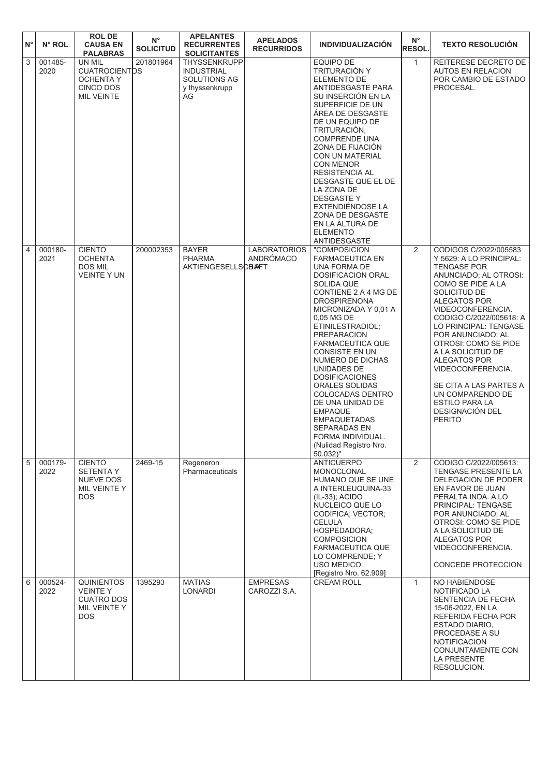| $N^{\circ}$    | N° ROL          | <b>ROLDE</b><br><b>CAUSA EN</b><br><b>PALABRAS</b>                                     | $\mathsf{N}^\circ$<br><b>SOLICITUD</b> | <b>APELANTES</b><br><b>RECURRENTES</b><br><b>SOLICITANTES</b>                    | <b>APELADOS</b><br><b>RECURRIDOS</b> | <b>INDIVIDUALIZACIÓN</b>                                                                                                                                                                                                                                                                                                                                                                                                                                                                                                         | $N^{\circ}$<br><b>RESOL.</b> | <b>TEXTO RESOLUCION</b>                                                                                                                                                                                                                                                                                                                                                                                                                                       |
|----------------|-----------------|----------------------------------------------------------------------------------------|----------------------------------------|----------------------------------------------------------------------------------|--------------------------------------|----------------------------------------------------------------------------------------------------------------------------------------------------------------------------------------------------------------------------------------------------------------------------------------------------------------------------------------------------------------------------------------------------------------------------------------------------------------------------------------------------------------------------------|------------------------------|---------------------------------------------------------------------------------------------------------------------------------------------------------------------------------------------------------------------------------------------------------------------------------------------------------------------------------------------------------------------------------------------------------------------------------------------------------------|
| $\sqrt{3}$     | 001485-<br>2020 | UN MIL<br><b>CUATROCIENTDS</b><br>OCHENTA Y<br>CINCO DOS<br><b>MIL VEINTE</b>          | 201801964                              | THYSSENKRUPP<br><b>INDUSTRIAL</b><br><b>SOLUTIONS AG</b><br>y thyssenkrupp<br>AG |                                      | <b>EQUIPO DE</b><br>TRITURACIÓN Y<br>ELEMENTO DE<br>ANTIDESGASTE PARA<br>SU INSERCIÓN EN LA<br>SUPERFICIE DE UN<br>ÁREA DE DESGASTE<br>DE UN EQUIPO DE<br>TRITURACIÓN,<br><b>COMPRENDE UNA</b><br>ZONA DE FIJACIÓN<br>CON UN MATERIAL<br>CON MENOR<br><b>RESISTENCIA AL</b><br>DESGASTE QUE EL DE<br>LA ZONA DE<br><b>DESGASTEY</b><br>EXTENDIENDOSE LA<br>ZONA DE DESGASTE<br>EN LA ALTURA DE<br><b>ELEMENTO</b><br>ANTIDESGASTE                                                                                                | $\mathbf{1}$                 | REITERESE DECRETO DE<br><b>AUTOS EN RELACION</b><br>POR CAMBIO DE ESTADO<br>PROCESAL.                                                                                                                                                                                                                                                                                                                                                                         |
| $\overline{4}$ | 000180-<br>2021 | <b>CIENTO</b><br><b>OCHENTA</b><br><b>DOS MIL</b><br><b>VEINTE Y UN</b>                | 200002353                              | <b>BAYER</b><br><b>PHARMA</b><br><b>AKTIENGESELLSCBAFT</b>                       | <b>LABORATORIOS</b><br>ANDRÓMACO     | "COMPOSICION<br><b>FARMACEUTICA EN</b><br>UNA FORMA DE<br><b>DOSIFICACION ORAL</b><br>SOLIDA QUE<br>CONTIENE 2 A 4 MG DE<br><b>DROSPIRENONA</b><br>MICRONIZADA Y 0,01 A<br>0,05 MG DE<br>ETINILESTRADIOL;<br><b>PREPARACION</b><br><b>FARMACEUTICA QUE</b><br><b>CONSISTE EN UN</b><br>NUMERO DE DICHAS<br>UNIDADES DE<br><b>DOSIFICACIONES</b><br>ORALES SOLIDAS<br>COLOCADAS DENTRO<br>DE UNA UNIDAD DE<br><b>EMPAQUE</b><br><b>EMPAQUETADAS</b><br>SEPARADAS EN<br>FORMA INDIVIDUAL.<br>(Nulidad Registro Nro.<br>$50.032$ )" | 2                            | CODIGOS C/2022/005583<br>Y 5629: A LO PRINCIPAL:<br><b>TENGASE POR</b><br>ANUNCIADO; AL OTROSI:<br>COMO SE PIDE A LA<br>SOLICITUD DE<br>ALEGATOS POR<br>VIDEOCONFERENCIA.<br>CODIGO C/2022/005618: A<br>LO PRINCIPAL: TENGASE<br>POR ANUNCIADO; AL<br>OTROSI: COMO SE PIDE<br>A LA SOLICITUD DE<br><b>ALEGATOS POR</b><br>VIDEOCONFERENCIA.<br>SE CITA A LAS PARTES A<br>UN COMPARENDO DE<br><b>ESTILO PARA LA</b><br><b>DESIGNACIÓN DEL</b><br><b>PERITO</b> |
| 5              | 000179-<br>2022 | <b>CIENTO</b><br><b>SETENTAY</b><br>NUEVE DOS<br>MIL VEINTE Y<br>DOS.                  | 2469-15                                | Regeneron<br>Pharmaceuticals                                                     |                                      | <b>ANTICUERPO</b><br>MONOCLONAL<br>HUMANO QUE SE UNE<br>A INTERLEUQUINA-33<br>(IL-33); ACIDO<br>NUCLEICO QUE LO<br>CODIFICA; VECTOR;<br><b>CELULA</b><br>HOSPEDADORA;<br><b>COMPOSICION</b><br><b>FARMACEUTICA QUE</b><br>LO COMPRENDE: Y<br>USO MEDICO.<br>[Registro Nro. 62.909]                                                                                                                                                                                                                                               | $\overline{2}$               | CODIGO C/2022/005613:<br>TENGASE PRESENTE LA<br>DELEGACION DE PODER<br>EN FAVOR DE JUAN<br>PERALTA INDA. A LO<br>PRINCIPAL: TENGASE<br>POR ANUNCIADO; AL<br>OTROSI: COMO SE PIDE<br>A LA SOLICITUD DE<br>ALEGATOS POR<br>VIDEOCONFERENCIA.<br>CONCEDE PROTECCION                                                                                                                                                                                              |
| 6              | 000524-<br>2022 | <b>QUINIENTOS</b><br><b>VEINTEY</b><br><b>CUATRO DOS</b><br>MIL VEINTE Y<br><b>DOS</b> | 1395293                                | <b>MATIAS</b><br>LONARDI                                                         | <b>EMPRESAS</b><br>CAROZZI S.A.      | <b>CREAM ROLL</b>                                                                                                                                                                                                                                                                                                                                                                                                                                                                                                                | $\mathbf{1}$                 | NO HABIENDOSE<br>NOTIFICADO LA<br>SENTENCIA DE FECHA<br>15-06-2022, EN LA<br>REFERIDA FECHA POR<br>ESTADO DIARIO,<br>PROCEDASE A SU<br><b>NOTIFICACION</b><br>CONJUNTAMENTE CON<br><b>LA PRESENTE</b><br>RESOLUCION.                                                                                                                                                                                                                                          |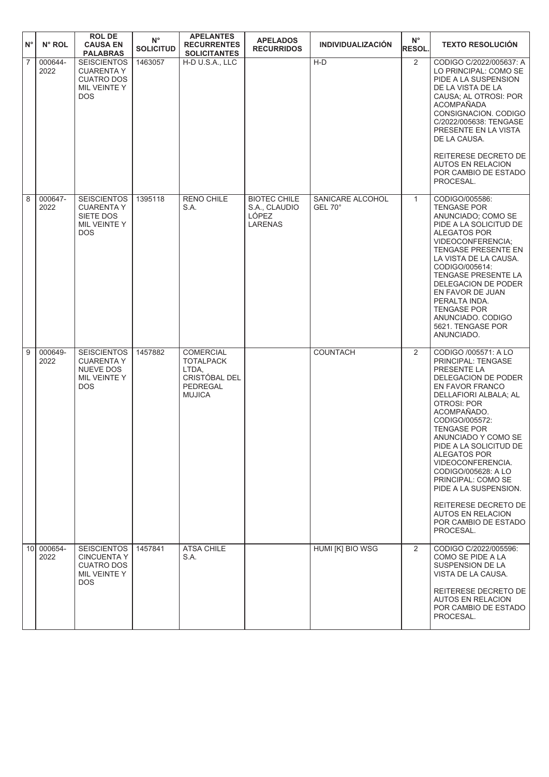| $N^{\circ}$    | N° ROL             | <b>ROL DE</b><br><b>CAUSA EN</b><br><b>PALABRAS</b>                                        | $N^{\circ}$<br><b>SOLICITUD</b> | <b>APELANTES</b><br><b>RECURRENTES</b><br><b>SOLICITANTES</b>                               | <b>APELADOS</b><br><b>RECURRIDOS</b>                            | <b>INDIVIDUALIZACIÓN</b>    | $N^{\circ}$<br><b>RESOL.</b> | <b>TEXTO RESOLUCIÓN</b>                                                                                                                                                                                                                                                                                                                                                                                                                                        |
|----------------|--------------------|--------------------------------------------------------------------------------------------|---------------------------------|---------------------------------------------------------------------------------------------|-----------------------------------------------------------------|-----------------------------|------------------------------|----------------------------------------------------------------------------------------------------------------------------------------------------------------------------------------------------------------------------------------------------------------------------------------------------------------------------------------------------------------------------------------------------------------------------------------------------------------|
| $\overline{7}$ | 000644-<br>2022    | <b>SEISCIENTOS</b><br><b>CUARENTA Y</b><br><b>CUATRO DOS</b><br>MIL VEINTE Y<br><b>DOS</b> | 1463057                         | H-D U.S.A., LLC                                                                             |                                                                 | $H-D$                       | 2                            | CODIGO C/2022/005637: A<br>LO PRINCIPAL: COMO SE<br>PIDE A LA SUSPENSION<br>DE LA VISTA DE LA<br>CAUSA; AL OTROSI: POR<br><b>ACOMPAÑADA</b><br>CONSIGNACION. CODIGO<br>C/2022/005638: TENGASE<br>PRESENTE EN LA VISTA<br>DE LA CAUSA.<br>REITERESE DECRETO DE<br><b>AUTOS EN RELACION</b><br>POR CAMBIO DE ESTADO<br>PROCESAL.                                                                                                                                 |
| 8              | 000647-<br>2022    | <b>SEISCIENTOS</b><br><b>CUARENTA Y</b><br>SIETE DOS<br>MIL VEINTE Y<br><b>DOS</b>         | 1395118                         | <b>RENO CHILE</b><br>S.A.                                                                   | <b>BIOTEC CHILE</b><br>S.A., CLAUDIO<br>LÓPEZ<br><b>LARENAS</b> | SANICARE ALCOHOL<br>GEL 70° | $\mathbf{1}$                 | CODIGO/005586:<br><b>TENGASE POR</b><br>ANUNCIADO; COMO SE<br>PIDE A LA SOLICITUD DE<br><b>ALEGATOS POR</b><br>VIDEOCONFERENCIA;<br>TENGASE PRESENTE EN<br>LA VISTA DE LA CAUSA.<br>CODIGO/005614:<br>TENGASE PRESENTE LA<br>DELEGACION DE PODER<br>EN FAVOR DE JUAN<br>PERALTA INDA.<br><b>TENGASE POR</b><br>ANUNCIADO. CODIGO<br>5621. TENGASE POR<br>ANUNCIADO.                                                                                            |
| 9              | 000649-<br>2022    | <b>SEISCIENTOS</b><br><b>CUARENTA Y</b><br><b>NUEVE DOS</b><br>MIL VEINTE Y<br><b>DOS</b>  | 1457882                         | <b>COMERCIAL</b><br><b>TOTALPACK</b><br>LTDA,<br>CRISTÓBAL DEL<br>PEDREGAL<br><b>MUJICA</b> |                                                                 | <b>COUNTACH</b>             | 2                            | CODIGO /005571: A LO<br>PRINCIPAL: TENGASE<br>PRESENTE LA<br>DELEGACION DE PODER<br>EN FAVOR FRANCO<br>DELLAFIORI ALBALA; AL<br><b>OTROSI: POR</b><br>ACOMPAÑADO.<br>CODIGO/005572:<br><b>TENGASE POR</b><br>ANUNCIADO Y COMO SE<br>PIDE A LA SOLICITUD DE<br>ALEGATOS POR<br>VIDEOCONFERENCIA.<br>CODIGO/005628: A LO<br>PRINCIPAL: COMO SE<br>PIDE A LA SUSPENSION.<br>REITERESE DECRETO DE<br><b>AUTOS EN RELACION</b><br>POR CAMBIO DE ESTADO<br>PROCESAL. |
|                | 10 000654-<br>2022 | <b>SEISCIENTOS</b><br><b>CINCUENTA Y</b><br><b>CUATRO DOS</b><br>MIL VEINTE Y<br>DOS.      | 1457841                         | <b>ATSA CHILE</b><br>S.A.                                                                   |                                                                 | HUMI [K] BIO WSG            | 2                            | CODIGO C/2022/005596:<br>COMO SE PIDE A LA<br>SUSPENSION DE LA<br>VISTA DE LA CAUSA.<br>REITERESE DECRETO DE<br><b>AUTOS EN RELACION</b><br>POR CAMBIO DE ESTADO<br>PROCESAL.                                                                                                                                                                                                                                                                                  |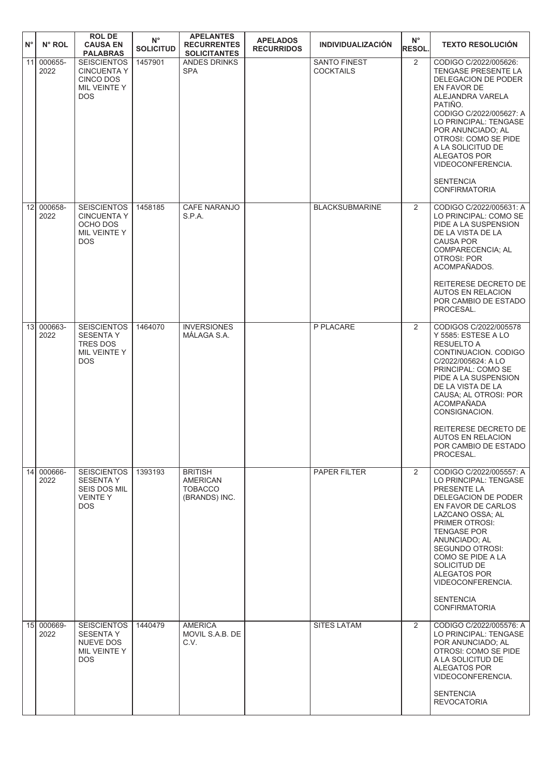| $N^{\circ}$<br>N° ROL              | <b>ROLDE</b><br><b>CAUSA EN</b><br><b>PALABRAS</b>                                      | $N^{\circ}$<br><b>SOLICITUD</b> | <b>APELANTES</b><br><b>RECURRENTES</b><br><b>SOLICITANTES</b> | <b>APELADOS</b><br><b>RECURRIDOS</b> | <b>INDIVIDUALIZACIÓN</b>                | $N^{\circ}$<br><b>RESOL.</b> | <b>TEXTO RESOLUCIÓN</b>                                                                                                                                                                                                                                                                                                                     |
|------------------------------------|-----------------------------------------------------------------------------------------|---------------------------------|---------------------------------------------------------------|--------------------------------------|-----------------------------------------|------------------------------|---------------------------------------------------------------------------------------------------------------------------------------------------------------------------------------------------------------------------------------------------------------------------------------------------------------------------------------------|
| 000655-<br>11<br>2022              | <b>SEISCIENTOS</b><br><b>CINCUENTA Y</b><br>CINCO DOS<br>MIL VEINTE Y<br><b>DOS</b>     | 1457901                         | ANDES DRINKS<br><b>SPA</b>                                    |                                      | <b>SANTO FINEST</b><br><b>COCKTAILS</b> | 2                            | CODIGO C/2022/005626:<br>TENGASE PRESENTE LA<br>DELEGACION DE PODER<br>EN FAVOR DE<br>ALEJANDRA VARELA<br>PATIÑO.<br>CODIGO C/2022/005627: A<br>LO PRINCIPAL: TENGASE<br>POR ANUNCIADO; AL<br>OTROSI: COMO SE PIDE<br>A LA SOLICITUD DE<br><b>ALEGATOS POR</b><br>VIDEOCONFERENCIA.<br><b>SENTENCIA</b><br><b>CONFIRMATORIA</b>             |
| 12 <sup>1</sup><br>000658-<br>2022 | <b>SEISCIENTOS</b><br><b>CINCUENTA Y</b><br>OCHO DOS<br>MIL VEINTE Y<br><b>DOS</b>      | 1458185                         | <b>CAFE NARANJO</b><br>S.P.A.                                 |                                      | <b>BLACKSUBMARINE</b>                   | 2                            | CODIGO C/2022/005631: A<br>LO PRINCIPAL: COMO SE<br>PIDE A LA SUSPENSION<br>DE LA VISTA DE LA<br><b>CAUSA POR</b><br>COMPARECENCIA; AL<br><b>OTROSI: POR</b><br>ACOMPAÑADOS.<br>REITERESE DECRETO DE<br><b>AUTOS EN RELACION</b><br>POR CAMBIO DE ESTADO<br>PROCESAL.                                                                       |
| 13 000663-<br>2022                 | <b>SEISCIENTOS</b><br><b>SESENTA Y</b><br><b>TRES DOS</b><br>MIL VEINTE Y<br><b>DOS</b> | 1464070                         | <b>INVERSIONES</b><br>MÁLAGA S.A.                             |                                      | P PLACARE                               | 2                            | CODIGOS C/2022/005578<br>Y 5585: ESTESE A LO<br><b>RESUELTO A</b><br>CONTINUACION, CODIGO<br>C/2022/005624: A LO<br>PRINCIPAL: COMO SE<br>PIDE A LA SUSPENSION<br>DE LA VISTA DE LA<br>CAUSA: AL OTROSI: POR<br><b>ACOMPAÑADA</b><br>CONSIGNACION.<br>REITERESE DECRETO DE<br><b>AUTOS EN RELACION</b><br>POR CAMBIO DE ESTADO<br>PROCESAL. |
| 000666-<br>14<br>2022              | <b>SEISCIENTOS</b><br><b>SESENTA Y</b><br>SEIS DOS MIL<br><b>VEINTEY</b><br>DOS.        | 1393193                         | <b>BRITISH</b><br>AMERICAN<br><b>TOBACCO</b><br>(BRANDS) INC. |                                      | PAPER FILTER                            | 2                            | CODIGO C/2022/005557: A<br>LO PRINCIPAL: TENGASE<br>PRESENTE LA<br>DELEGACION DE PODER<br>EN FAVOR DE CARLOS<br>LAZCANO OSSA; AL<br>PRIMER OTROSI:<br><b>TENGASE POR</b><br>ANUNCIADO; AL<br>SEGUNDO OTROSI:<br>COMO SE PIDE A LA<br>SOLICITUD DE<br>ALEGATOS POR<br>VIDEOCONFERENCIA.<br><b>SENTENCIA</b><br><b>CONFIRMATORIA</b>          |
| 15<br>000669-<br>2022              | <b>SEISCIENTOS</b><br><b>SESENTA Y</b><br>NUEVE DOS<br>MIL VEINTE Y<br><b>DOS</b>       | 1440479                         | <b>AMERICA</b><br>MOVIL S.A.B. DE<br>C.V.                     |                                      | <b>SITES LATAM</b>                      | $\overline{2}$               | CODIGO C/2022/005576: A<br>LO PRINCIPAL: TENGASE<br>POR ANUNCIADO; AL<br>OTROSI: COMO SE PIDE<br>A LA SOLICITUD DE<br>ALEGATOS POR<br>VIDEOCONFERENCIA.<br><b>SENTENCIA</b><br><b>REVOCATORIA</b>                                                                                                                                           |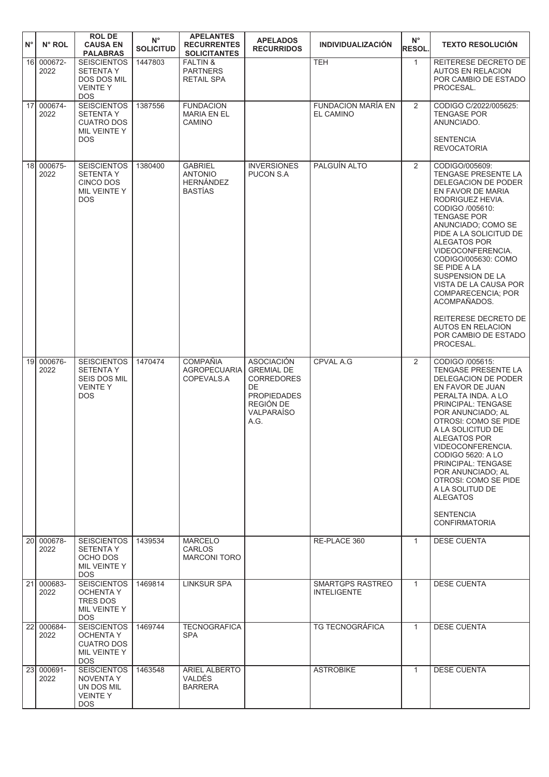| $N^{\circ}$     | N° ROL             | <b>ROL DE</b><br><b>CAUSA EN</b><br><b>PALABRAS</b>                                          | $N^{\circ}$<br><b>SOLICITUD</b> | <b>APELANTES</b><br><b>RECURRENTES</b><br><b>SOLICITANTES</b>          | <b>APELADOS</b><br><b>RECURRIDOS</b>                                                                                              | <b>INDIVIDUALIZACIÓN</b>               | $N^{\circ}$<br>RESOL. | <b>TEXTO RESOLUCIÓN</b>                                                                                                                                                                                                                                                                                                                                                                                                                                       |
|-----------------|--------------------|----------------------------------------------------------------------------------------------|---------------------------------|------------------------------------------------------------------------|-----------------------------------------------------------------------------------------------------------------------------------|----------------------------------------|-----------------------|---------------------------------------------------------------------------------------------------------------------------------------------------------------------------------------------------------------------------------------------------------------------------------------------------------------------------------------------------------------------------------------------------------------------------------------------------------------|
| 16 <sup>1</sup> | 000672-<br>2022    | <b>SEISCIENTOS</b><br><b>SETENTA Y</b><br><b>DOS DOS MIL</b><br><b>VEINTEY</b><br><b>DOS</b> | 1447803                         | <b>FALTIN &amp;</b><br><b>PARTNERS</b><br><b>RETAIL SPA</b>            |                                                                                                                                   | <b>TEH</b>                             | $\mathbf{1}$          | REITERESE DECRETO DE<br><b>AUTOS EN RELACION</b><br>POR CAMBIO DE ESTADO<br>PROCESAL.                                                                                                                                                                                                                                                                                                                                                                         |
| 17 <sup>1</sup> | 000674-<br>2022    | <b>SEISCIENTOS</b><br><b>SETENTA Y</b><br><b>CUATRO DOS</b><br>MIL VEINTE Y<br><b>DOS</b>    | 1387556                         | <b>FUNDACION</b><br><b>MARIA EN EL</b><br>CAMINO                       |                                                                                                                                   | FUNDACION MARÍA EN<br>EL CAMINO        | $\overline{2}$        | CODIGO C/2022/005625:<br><b>TENGASE POR</b><br>ANUNCIADO.<br><b>SENTENCIA</b><br><b>REVOCATORIA</b>                                                                                                                                                                                                                                                                                                                                                           |
| 18 <sup>1</sup> | 000675-<br>2022    | <b>SEISCIENTOS</b><br><b>SETENTA Y</b><br>CINCO DOS<br>MIL VEINTE Y<br>DOS.                  | 1380400                         | <b>GABRIEL</b><br><b>ANTONIO</b><br><b>HERNÁNDEZ</b><br><b>BASTÍAS</b> | <b>INVERSIONES</b><br>PUCON S.A                                                                                                   | PALGUÍN ALTO                           | $\overline{2}$        | CODIGO/005609:<br><b>TENGASE PRESENTE LA</b><br>DELEGACION DE PODER<br>EN FAVOR DE MARIA<br>RODRIGUEZ HEVIA.<br>CODIGO /005610:<br><b>TENGASE POR</b><br>ANUNCIADO; COMO SE<br>PIDE A LA SOLICITUD DE<br>ALEGATOS POR<br>VIDEOCONFERENCIA.<br>CODIGO/005630: COMO<br>SE PIDE A LA<br>SUSPENSION DE LA<br>VISTA DE LA CAUSA POR<br>COMPARECENCIA; POR<br>ACOMPAÑADOS.<br>REITERESE DECRETO DE<br><b>AUTOS EN RELACION</b><br>POR CAMBIO DE ESTADO<br>PROCESAL. |
| 19 <sup>l</sup> | 000676-<br>2022    | <b>SEISCIENTOS</b><br><b>SETENTAY</b><br><b>SEIS DOS MIL</b><br><b>VEINTEY</b><br><b>DOS</b> | 1470474                         | <b>COMPAÑIA</b><br><b>AGROPECUARIA</b><br>COPEVALS.A                   | <b>ASOCIACIÓN</b><br><b>GREMIAL DE</b><br><b>CORREDORES</b><br>DE<br><b>PROPIEDADES</b><br>REGIÓN DE<br><b>VALPARAÍSO</b><br>A.G. | <b>CPVAL A.G</b>                       | 2                     | CODIGO /005615:<br><b>TENGASE PRESENTE LA</b><br>DELEGACION DE PODER<br>EN FAVOR DE JUAN<br>PERALTA INDA, A LO<br>PRINCIPAL: TENGASE<br>POR ANUNCIADO; AL<br><b>OTROSI: COMO SE PIDE</b><br>A LA SOLICITUD DE<br>ALEGATOS POR<br>VIDEOCONFERENCIA.<br>CODIGO 5620: A LO<br>PRINCIPAL: TENGASE<br>POR ANUNCIADO; AL<br>OTROSI: COMO SE PIDE<br>A LA SOLITUD DE<br><b>ALEGATOS</b><br><b>SENTENCIA</b><br><b>CONFIRMATORIA</b>                                  |
| 20 <sup>1</sup> | 000678-<br>2022    | <b>SEISCIENTOS</b><br><b>SETENTAY</b><br>OCHO DOS<br>MIL VEINTE Y<br><b>DOS</b>              | 1439534                         | <b>MARCELO</b><br><b>CARLOS</b><br><b>MARCONI TORO</b>                 |                                                                                                                                   | RE-PLACE 360                           | $\mathbf{1}$          | <b>DESE CUENTA</b>                                                                                                                                                                                                                                                                                                                                                                                                                                            |
|                 | 21 000683-<br>2022 | <b>SEISCIENTOS</b><br><b>OCHENTA Y</b><br>TRES DOS<br>MIL VEINTE Y<br><b>DOS</b>             | 1469814                         | <b>LINKSUR SPA</b>                                                     |                                                                                                                                   | SMARTGPS RASTREO<br><b>INTELIGENTE</b> | $\mathbf{1}$          | <b>DESE CUENTA</b>                                                                                                                                                                                                                                                                                                                                                                                                                                            |
| 22              | 000684-<br>2022    | <b>SEISCIENTOS</b><br><b>OCHENTA Y</b><br><b>CUATRO DOS</b><br>MIL VEINTE Y<br><b>DOS</b>    | 1469744                         | <b>TECNOGRAFICA</b><br><b>SPA</b>                                      |                                                                                                                                   | <b>TG TECNOGRÁFICA</b>                 | $\mathbf{1}$          | <b>DESE CUENTA</b>                                                                                                                                                                                                                                                                                                                                                                                                                                            |
|                 | 23 000691-<br>2022 | <b>SEISCIENTOS</b><br>NOVENTA Y<br>UN DOS MIL<br><b>VEINTEY</b><br>DOS.                      | 1463548                         | <b>ARIEL ALBERTO</b><br><b>VALDÉS</b><br><b>BARRERA</b>                |                                                                                                                                   | <b>ASTROBIKE</b>                       | $\mathbf{1}$          | <b>DESE CUENTA</b>                                                                                                                                                                                                                                                                                                                                                                                                                                            |